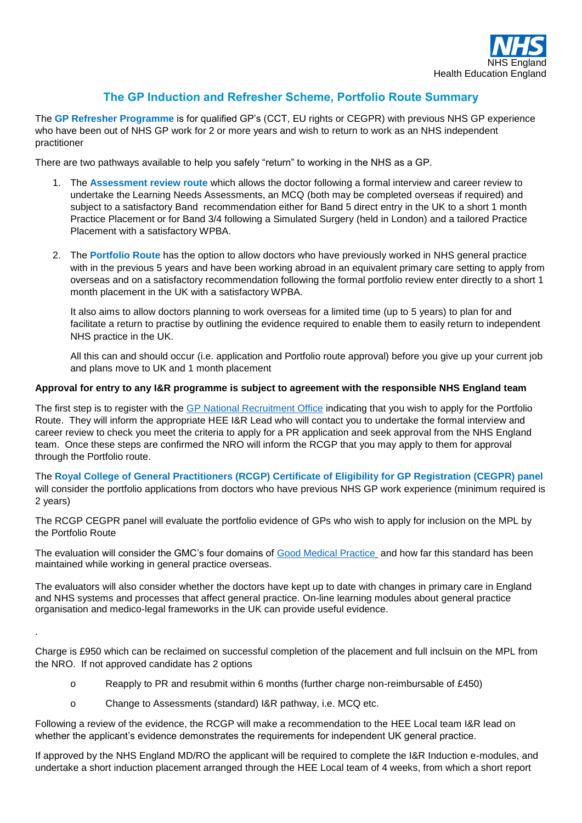

## **The GP Induction and Refresher Scheme, Portfolio Route Summary**

The **GP Refresher Programme** is for qualified GP's (CCT, EU rights or CEGPR) with previous NHS GP experience who have been out of NHS GP work for 2 or more years and wish to return to work as an NHS independent practitioner

There are two pathways available to help you safely "return" to working in the NHS as a GP.

- 1. The **Assessment review route** which allows the doctor following a formal interview and career review to undertake the Learning Needs Assessments, an MCQ (both may be completed overseas if required) and subject to a satisfactory Band recommendation either for Band 5 direct entry in the UK to a short 1 month Practice Placement or for Band 3/4 following a Simulated Surgery (held in London) and a tailored Practice Placement with a satisfactory WPBA.
- 2. The **Portfolio Route** has the option to allow doctors who have previously worked in NHS general practice with in the previous 5 years and have been working abroad in an equivalent primary care setting to apply from overseas and on a satisfactory recommendation following the formal portfolio review enter directly to a short 1 month placement in the UK with a satisfactory WPBA.

It also aims to allow doctors planning to work overseas for a limited time (up to 5 years) to plan for and facilitate a return to practise by outlining the evidence required to enable them to easily return to independent NHS practice in the UK.

All this can and should occur (i.e. application and Portfolio route approval) before you give up your current job and plans move to UK and 1 month placement

## **Approval for entry to any I&R programme is subject to agreement with the responsible NHS England team**

The first step is to register with the [GP National Recruitment Office](https://gprecruitment.hee.nhs.uk/Induction-Refresher) indicating that you wish to apply for the Portfolio Route. They will inform the appropriate HEE I&R Lead who will contact you to undertake the formal interview and career review to check you meet the criteria to apply for a PR application and seek approval from the NHS England team. Once these steps are confirmed the NRO will inform the RCGP that you may apply to them for approval through the Portfolio route.

The **Royal College of General Practitioners (RCGP) Certificate of Eligibility for GP Registration (CEGPR) panel** will consider the portfolio applications from doctors who have previous NHS GP work experience (minimum required is 2 years)

The RCGP CEGPR panel will evaluate the portfolio evidence of GPs who wish to apply for inclusion on the MPL by the Portfolio Route

The evaluation will consider the GMC's four domains of [Good Medical Practice](http://www.gmc-uk.org/guidance/index.asp) and how far this standard has been maintained while working in general practice overseas.

The evaluators will also consider whether the doctors have kept up to date with changes in primary care in England and NHS systems and processes that affect general practice. On-line learning modules about general practice organisation and medico-legal frameworks in the UK can provide useful evidence.

Charge is £950 which can be reclaimed on successful completion of the placement and full inclsuin on the MPL from the NRO. If not approved candidate has 2 options

- o Reapply to PR and resubmit within 6 months (further charge non-reimbursable of £450)
- o Change to Assessments (standard) I&R pathway, i.e. MCQ etc.

.

Following a review of the evidence, the RCGP will make a recommendation to the HEE Local team I&R lead on whether the applicant's evidence demonstrates the requirements for independent UK general practice.

If approved by the NHS England MD/RO the applicant will be required to complete the I&R Induction e-modules, and undertake a short induction placement arranged through the HEE Local team of 4 weeks, from which a short report